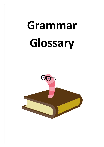# **Grammar Glossary**

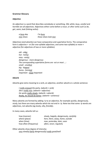## **Grammar Glossary**

## **Adjective**

An adjective is a word that describes somebody or something. *Old*, *white*, *busy*, *careful* and *horrible* are all adjectives. Adjectives either come before a noun, or after verbs such as *be*, *get*, *seem*, *look* (linking verbs):

| a busy day | I'm busy              |
|------------|-----------------------|
| nice shoes | those shoes look nice |

Adjectives (and adverbs) can have comparative and superlative forms. The comparative form is adjective + *-er* (for one-syllable adjectives, and some two-syllable) or *more* + adjective (for adjectives of two or more syllables):

*old - older hot - hotter easy - easier dangerous - more dangerous The corresponding superlative forms are -est or most ...: small - smallest big - biggest funny - funniest important - most important*

## **Adverb**

Adverbs give extra meaning to a verb, an adjective, another adverb or a whole sentence:

*I really enjoyed the party. (adverb + verb) She's really nice. (adverb + adjective) He works really slowly. (adverb + adverb) Really, he should do better. (adverb + sentence)*

Many adverbs are formed by adding -ly to an adjective, for example *quickly*, *dangerously*, *nicely*, but there are many adverbs which do not end in *-ly*. Note too that some *-ly* words are adjectives, not adverbs (eg *lovely, silly*, *friendly*).

In many cases, adverbs tell us:

| how (manner)          | slowly, happily, dangerously, carefully |
|-----------------------|-----------------------------------------|
| where (place)         | here, there, away, home, outside        |
| when (time)           | now, yesterday, later, soon             |
| how often (frequency) | often, never, regularly                 |

Other adverbs show degree of intensity: *very slow(ly) fairly dangerous(ly) really good/well*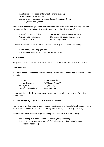the attitude of the speaker to what he or she is saying: *perhaps obviously fortunately connections in meaning between sentences* (see **connective**): *however furthermore finally*

An **adverbial phrase** is a group of words that functions in the same way as a single adverb. For example: *by car*, *to school*, *last week*, *three times a day*, *first of all*, *of course*:

| They left yesterday. (adverb) | She looked at me strangely. (adverb) |
|-------------------------------|--------------------------------------|
| They left a few days ago.     | She looked at me in a strange way.   |
| (adverbial phrase)            | (adverbial phrase)                   |

Similarly, an **adverbial clause** functions in the same way as an adverb. For example:

*It was raining yesterday.* (adverb) *It was raining when we went out.* (adverbial clause).

## **Apostrophe (')**

An apostrophe is a punctuation mark used to indicate either omitted letters or possession.

#### **Omitted letters**

We use an apostrophe for the omitted letter(s) when a verb is contracted (= shortened). For example:

| I'm (I am)            | who's (who is/has)  |
|-----------------------|---------------------|
| they've (they have)   | he'd (he had/would) |
| we're (we are)        | it's (it is/has)    |
| would've (would have) | she'll (she will)   |

In contracted negative forms, *not* is contracted to *n't* and joined to the verb: *isn't*, *didn't*, *couldn't* etc.

In formal written style, it is more usual to use the full form.

There are a few other cases where an apostrophe is used to indicate letters that are in some sense 'omitted' in words other than verbs, eg *let's* (= *let us*), o'clock (= *of the clock*).

Note the difference between *its* (= '*belonging to it*') and *it's* (= '*it is*' or '*it has*'):

*The company is to close one of its factories.* (no apostrophe) *The factory employs 800 people. It's (= it is) the largest factory in the town.* (apostrophe necessary)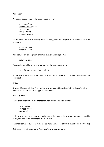## **Possession**

We use an apostrophe + *s* for the possessive form:

*my mother's car Joe and Fiona's house the cat's tail James's ambition a week's holiday*

With a plural 'possessor' already ending in *s* (eg *parents*), an apostrophe is added to the end of the word:

*my parents' car the girls' toilets*

But irregular plurals (eg men, children) take an apostrophe + *s*:

*children's clothes*

The regular plural form (-*s*) is often confused with possessive -*'s*:

*I bought some apples.* (not *apple's*)

Note that the possessive words *yours*, *his*, *hers*, *ours*, *theirs*, and *its* are not written with an apostrophe.

## **Article**

*A*, *an* and *the* are articles. A (*an* before a vowel sound) is the indefinite article; *the* is the definite article. Articles are a type of determiner.

## **Auxiliary verbs**

These are verbs that are used together with other verbs. For example:

*we are going Lucy has arrived can you play*

In these sentences, *going*, *arrived* and *play* are the main verbs. *Are*, *has* and *can* are auxiliary verbs, and add extra meaning to the main verb.

The most common auxiliary verbs are *be*, *have* and *do* (all of which can also be main verbs).

*Be* is used in continuous forms *(be + -ing)* and in passive forms: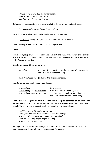*We are going away. Was the car damaged? Have* is used in perfect verb forms: *Lucy has arrived. I haven't finished.*

*Do* is used to make questions and negatives in the simple present and past tenses:

*Do you know the answer? I didn't see anybody.*

More than one auxiliary verb can be used together. For example:

*I have been waiting for ages.* (*have* and *been* are auxiliary verbs)

The remaining auxiliary verbs are modal verbs, eg *can*, *will*.

#### **Clause**

A clause is a group of words that expresses an event (*she drank some water*) or a situation (*she was thirsty/she wanted a drink*). It usually contains a subject (*she* in the examples) and verb (*drank/was/wanted*).

Note how a clause differs from a phrase:

| a big dog | (a phrase - this refers to 'a big dog' but doesn't say what the |
|-----------|-----------------------------------------------------------------|
|           | dog did or what happened to it)                                 |

*a big dog chased me* (a clause - the dog did something)

A sentence is made up of one or more clauses:

| It was raining                   | (one clause)                                   |
|----------------------------------|------------------------------------------------|
| It was raining and we were cold. | (two main clauses joined by and)               |
| It was raining when we went out. | (main clause containing a subordinate clause – |
|                                  | the subordinate clause is underlined)          |

A main clause is complete on its own and can form a complete sentence (eg *It was raining)*. A subordinate clause (*when we went out*) is part of the main clause and cannot exist on its own. In the following examples, the subordinate clauses are underlined:

*You'll hurt yourself if you're not careful. Although it was cold, the weather was pleasant enough. Where are the biscuits (that) I bought this morning? John, who was very angry, began shouting. What you said was not true.*

Although most clauses require a subject and verb, some subordinate clauses do not. In many such cases, the verb be can be understood. For example: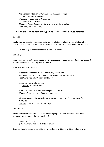*The weather, although rather cold, was pleasant enough. (= although it was rather cold) When in Rome, do as the Romans do. (= when you are in Rome) Glad to be home, George sat down in his favourite armchair. (= he was glad to be home)*

# see also **adverbial clause**, **noun clause**, **participle**, **phrase**, **relative clause**, **sentence**

# **Colon (:)**

A colon is a punctuation mark used to introduce a list or a following example (as in this glossary). It may also be used before a second clause that expands or illustrates the first:

*He was very cold: the temperature was below zero.*

## **Comma (,)**

A comma is a punctuation mark used to help the reader by separating parts of a sentence. It sometimes corresponds to a pause in speech.

In particular we use commas:

to separate items in a list (but not usually before *and*): *My favourite sports are football, tennis, swimming and gymnastics. I got home, had a bath and went to bed.*

to mark off extra information: *Jill, my boss, is 28 years old.*

after a subordinate **clause** which begins a sentence: *Although it was cold, we didn't wear our coats.*

with many connecting **adverbs** (eg *however*, *on the other hand*, *anyway*, *for example*): *Anyway, in the end I decided not to go.*

## **Conditional**

A conditional sentence is one in which one thing depends upon another. Conditional sentences often contain the **conjunction** if:

*I'll help you if I can. If the weather's bad, we might not go out.*

Other conjunctions used in conditionals are unless, providing, provided and as long as.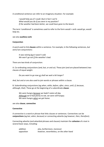A conditional sentence can refer to an imaginary situation. For example:

*I* would help you if *I* could. (but in fact I can't) *What would you do if you were in my position? If the weather had been better, we could have gone to the beach.*

The term 'conditional' is sometimes used to refer to the form *would* + verb: *would go*, *would help* etc.

see also **auxiliary verb**

## **Conjunction**

A word used to link **clauses** within a sentence. For example, in the following sentences, *but*  and *if* are conjunctions:

*It was raining but it wasn't cold. We won't go out if the weather's bad.*

There are two kinds of conjunction:

A. Co-ordinating conjunctions (*and*, *but*, *or* and *so*). These join (and are placed between) two clauses of equal weight.

*Do you want to go now or shall we wait a bit longer?*

*And*, *but* and *or* are also used to join words or phrases within a clause.

B. Subordinating conjunctions (eg *when*, *while*, *before*, *after*, *since*, *until*, *if*, *because*, *although*, *that*). These go at the beginning of a subordinate **clause**:

*We were hungry because we hadn't eaten all day. Although we'd had plenty to eat, we were still hungry. We were hungry when we got home.*

## see also **clause**, **connective**

## **Connective**

A connective is a word or phrase that links clauses or sentences. Connectives can be **conjunctions** (eg *but*, *whe*n, *because*) or connecting adverbs (eg *however*, *then*, *therefore*).

Connecting adverbs (and adverbial phrases and clauses) maintain the **cohesion** of a text in several basic ways, including:

| addition   | also, furthermore, moreover              |
|------------|------------------------------------------|
| opposition | however, nevertheless, on the other hand |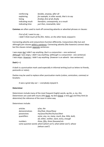| reinforcing       | besides, anyway, after all                  |
|-------------------|---------------------------------------------|
| explaining        | for example, in other words, that is to say |
| listing           | first(ly), first of all, finally            |
| indicating result | therefore, consequently, as a result        |
| indicating time   | just then, meanwhile, later                 |

**Commas** are often used to mark off connecting adverbs or adverbial phrases or clauses:

*First of all, I want to say … I didn't think much of the film. Helen, on the other hand, enjoyed it.*

Connecting adverbs and conjunctions function differently. Conjunctions (like but and although) join clauses within a sentence. Connecting adverbs (like *however*) connect ideas but the clauses remain separate sentences:

*I was angry but I didn't say anything.* (*but* is a conjunction – one sentence) *Although I was angry, I didn't say anything.* (*although* is a conjunction - one sentence) *I was angry. However, I didn't say anything.* (*however* is an adverb - two sentences)

# **Dash (—)**

A dash is a punctuation mark used especially in informal writing (such as letters to friends, postcards or notes).

Dashes may be used to replace other punctuation marks (*colons*, *semicolons*, *commas*) or brackets:

*It was a great day out — everybody enjoyed it.*

## **Determiner**

Determiners include many of the most frequent English words, eg *the*, *a*, *my*, *this*. Determiners are used with nouns (*this book, my best friend, a new car*) and they limit (ie determine) the reference of the noun in some way.

Determiners include:

| articles       | $a$ /an, the                                                     |
|----------------|------------------------------------------------------------------|
| demonstratives | this/that, these/those                                           |
| possessives    | my/your/his/her/its/our/their                                    |
| quantifiers    | some, any, no, many, much, few, little, both,                    |
|                | all, either, neither, each, every, enough                        |
| numbers        | three, fifty, three thousand etc                                 |
|                | some question words which (which car?), what (what size?), whose |
|                | (whose coat?)                                                    |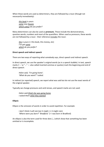When these words are used as determiners, they are followed by a noun (though not necessarily immediately):

*this book is yours some new houses which colour do you prefer?*

Many determiners can also be used as **pronouns**. These include the demonstratives, question words, numbers and most of the quantifiers. When used as pronouns, these words are not followed by a noun - their reference includes the noun:

*this is yours* (= this book, this money, etc) *I've got some which do you prefer?*

## **Direct speech and indirect speech**

There are two ways of reporting what somebody says, direct speech and indirect speech.

In direct speech, we use the speaker's original words (as in a speech bubble). In text, speech marks ('...' or "..." — also called inverted commas or quotes) mark the beginning and end of direct speech:

*Helen said, 'I'm going home'. 'What do you want?' I asked.*

In indirect (or reported) speech, we report what was said but do not use the exact words of the original speaker.

Typically we change pronouns and verb tenses, and speech marks are not used:

*Helen said (that) she was going home. I asked them what they wanted.*

## **Ellipsis**

Ellipsis is the omission of words in order to avoid repetition. For example:

*I don't think it will rain but it might.* (= it might rain) *'Where were you born?' 'Bradford.'* (= I was born in Bradford)

An ellipsis is also the term used for three dots (…) which show that something has been omitted or is incomplete.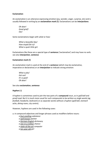# **Exclamation**

An exclamation is an utterance expressing emotion (joy, wonder, anger, surprise, etc) and is usually followed in writing by an **exclamation mark (!)**. Exclamations can be **interjections**:

*Oh dear! Good grief! Ow!*

Some exclamations begin with *what* or *how:*

*What a beautiful day! How stupid (he is)! What a quiet little girl.*

Exclamations like these are a special type of **sentence** ('exclamative') and may have no verb. see also **interjection**, **sentence**

# **Exclamation mark (!)**

An exclamation mark is used at the end of a **sentence** (which may be exclamative, imperative or declarative) or an **interjection** to indicate strong emotion:

*What a pity! Get out! It's a goal! Oh dear!*

See also **exclamation**, **sentence**

# **Hyphen (-)**

A hyphen is sometimes used to join the two parts of a **compound** noun, as in *golf-ball* and *proof-read*. But it is much more usual for such compounds to be written as single words (eg *football*, *headache*, *bedroom*) or as separate words without a hyphen (*golf ball*, *stomach ache*, *dining room*, *city centre*).

However, hyphens are used in the following cases:

a. in compound adjectives and longer phrases used as modifiers before nouns:

- *a foul-smelling substance*
- *a well-known painter a German-English dictionary*
- 
- *a one-in-a-million chance*
- *a state-of-the-art computer*
- *a ten-year-old girl*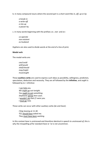b. in many compound nouns where the second part is a short word like *in*, *off*, *up* or *by*:

*a* bre*ak-in a write-off a mix-up a pass*er-by

c. in many words beginning with the prefixes *co*-, *non*- and *ex*-:

*co-operate non-existent ex-husband*

Hyphens are also used to divide words at the end of a line of print.

## **Modal verb**

The modal verbs are:

*can/could will/would shall/should may/might must/ought*

These **auxiliary verbs** are used to express such ideas as possibility, willingness, prediction, speculation, deduction and necessity. They are all followed by the **infinitive**, and *ought* is followed by *to* + infinitive:

*I can help you. We might go out tonight. You ought to eat something. Stephanie will be here soon. I wouldn't do that if I were you. I must go now.*

These verbs can occur with other auxiliary verbs (*be* and *have*):

*I'll be leaving at 11.30. You should have asked me. They must have been working.*

In this context *have* is unstressed and therefore identical in speech to unstressed *of*; this is why the misspelling *of* for standard *have* or *'ve* is not uncommon.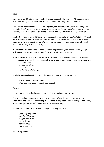#### **Noun**

A noun is a word that denotes somebody or something. In the sentence *My younger sister won some money in a competition*, '*sister*', '*money*' and '*competition*' are nouns.

Many nouns (countable nouns) can be **singular** (only one) or **plural** (more than one). For example *sister*/*sisters*, *problem*/*problems*, *party*/*parties*. Other nouns (mass nouns) do not normally occur in the plural. For example: *butter*, *cotton*, *electricity*, *money*, *happiness*.

A **collective noun** is a word that refers to a group. For example, *crowd*, *flock*, *team*. Although these are singular in form, we often think of them as plural in meaning and use them with a plural verb. For example, if we say *The team have won all their games so far*, we think of '*the team*' as '*they*' (rather than '*it*').

**Proper nouns** are the names of people, places, organisations, etc. These normally begin with a capital letter: *Amanda*, *Birmingham*, *Microsoft*, *Islam*, *November*.

**Noun phrase** is a wider term than 'noun'. It can refer to a single noun (*money*), a pronoun (*it*) or a group of words that functions in the same way as a noun in a sentence, for example:

*a lot of money my younger sister a new car the best team in the world*

Similarly, a **noun clause** functions in the same way as a noun. For example:

*The story was not true.* (noun) *What you said was not true. (*noun clause)

#### **Person**

In grammar, a distinction is made between first, second and third person.

One uses the first person when referring to oneself (*I/we*); the second person when referring to one's listener or reader (*you*); and the third person when referring to somebody or something else (*he/she/it/they/my friend/the books* etc).

In some cases the form of the verb changes according to person:

*I/we/you/they know I/we/you/they have we/you/they were he/she knows he/she/it has I/he/she/it was*

see also agreement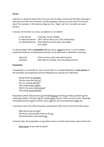## **Phrase**

A phrase is a group of words that act as one unit. So *dog* is a word, but *the dog*, *a big dog* or *that dog over there* are all phrases. Strictly speaking, a phrase can also consist of just one word. For example, in the sentence *Dogs are nice*, '*dogs*' and '*nice*' are both one-word phrases.

A phrase can function as a noun, an adjective or an adverb:

| a noun phrase | a big dog, my last holiday                                          |
|---------------|---------------------------------------------------------------------|
|               | an adjectival phrase (she's not) as old as you, (I'm) really hungry |
|               | an adverbial phrase (they left) five minutes ago, (she walks)       |
|               | very slowly                                                         |

If a phrase begins with a **preposition** (like *in a hurry*, *along* the lane), it can be called a prepositional phrase. A prepositional phrase can be adjectival or adverbial in meaning:

| adjectival | $(1'm)$ in a hurry, (the man) with long hair       |
|------------|----------------------------------------------------|
| adverbial  | (they left) on Tuesday, (she lives) along the lane |

## **Preposition**

A preposition is a word like *at*, *over*, *by* and *with*. It is usually followed by a **noun phrase**. In the examples, the preposition and the following noun phrase are underlined:

*We got home at midnight. Did you come here by car? Are you coming with me? They jumped over a fence. What's the name of this street? I fell asleep during the film.*

Prepositions often indicate time (*at midnight/during the film/on Friday*), position (*at the station/in a field*) or direction (*to the station/over a fence*). There are many other meanings, including possession (*of this street*), means (*by car*) and accompaniment (*with me*).

In questions and a few other structures, prepositions often occur at the end of the clause:

*Who did you go out with? We haven't got enough money to live on. I found the book I was looking for.*

In formal style, the preposition can go before whom or which (*with whom*, *about which* etc):

*With whom do you wish to speak?*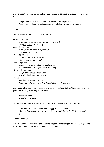Many prepositions (eg *on*, *over*, *up*) can also be used as **adverbs** (without a following noun or pronoun):

*We got on the bus*. (preposition - followed by a noun phrase) *The bus stopped and we got on.* (adverb - no following noun or pronoun)

#### **Pronoun**

There are several kinds of pronoun, including:

| personal pronouns                                      |
|--------------------------------------------------------|
| $1/m$ e, you, he/him, she/her, we/us, they/them, it    |
| I like <u>him. They</u> don't want <u>it</u> .         |
| possessive pronouns                                    |
| mine, yours, his, hers, ours, theirs, its              |
| Is this book yours or mine?                            |
| reflexive pronouns                                     |
| myself, herself, themselves etc                        |
| I hurt myself. Enjoy yourselves!                       |
| indefinite pronouns                                    |
| someone, anything, nobody, everything etc              |
| Someone wants to see you about something.              |
| interrogative pronouns                                 |
| who/whom, whose, which, what                           |
| Who did that? What happened?                           |
| relative pronouns                                      |
| who/whom, whose, which, that                           |
| The person who did that  The thing that annoyed me was |
|                                                        |

Many **determiners** can also be used as pronouns, including *this/that/these/those* and the quantifiers (*some*, *much* etc). For example:

*These are mine. Would you like some?*

Pronouns often 'replace' a noun or noun phrase and enable us to avoid repetition:

*I saw your father but I didn't speak to him. (= your father) 'We're going away for the weekend.' 'Oh, are you? That's nice.'* (= the fact you're going away)

## **Question mark (?)**

A question mark is used at the end of an interrogative **sentence** (eg *Who was that?*) or one whose function is a question (eg *You're leaving already?*)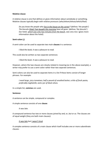## **Relative clause**

A relative clause is one that defines or gives information about somebody or something. Relative clauses typically begin with relative pronouns (*who/whom/whose/which/that*):

*Do you know the people who live in the house on the corner?* (defines '*the people') The biscuits (that) Tom bought this morning have all gone.* (defines *'the biscuits*') *Our hotel, which was only two minutes from the beach, was very nice.* (gives more information about the hotel)

# **Semi-colon (;)**

A semi-colon can be used to separate two main **clauses** in a sentence:

*I liked the book; it was a pleasure to read.*

This could also be written as two separate sentences:

*I liked the book. It was a pleasure to read.*

However, where the two clauses are closely related in meaning (as in the above example), a writer may prefer to use a semi-colon rather than two separate sentences.

Semi-colons can also be used to separate items in a list if these items consist of longer phrases. For example:

*I need large, juicy tomatoes; half a pound of unsalted butter; a kilo of fresh pasta, preferably tagliatelle; and a jar of black olives.*

In a simple list, **commas** are used.

## **Sentence**

A sentence can be simple, compound or complex.

A simple sentence consists of one **clause**:

*It was late.*

A compound sentence has two or more clauses joined by *and*, or, *but* or *so*. The clauses are of equal weight (they are both main clauses):

# *It was late but I wasn't tired.*

A complex sentence consists of a main clause which itself includes one or more subordinate clauses: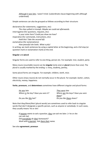*Although it was late, I wasn't tired*. (subordinate clause beginning with *although*  underlined)

Simple sentences can also be grouped as follows according to their structure:

declarative (for statements, suggestions, etc): *The class yelled in triumph. Maybe we could eat afterwards.* interrogative (for questions, requests, etc): *Is your sister here? Could you show me how?* imperative (for commands, instructions, etc): *Hold this! Take the second left.* exclamative (for exclamations): *How peaceful she looks. What a pity!*

In writing, we mark sentences by using a capital letter at the beginning, and a full stop (or question mark or exclamation mark) at the end.

#### **Singular** and **plural**

Singular forms are used to refer to one thing, person etc. For example: *tree*, s*tudent*, *party*.

Many nouns (countable nouns) can be **singular** (only one) or **plural** (more than one). The plural is usually marked by the ending *-s*: *trees*, *students*, *parties*.

Some plural forms are irregular. For example: *children*, *teeth*, *mice*.

Other nouns (mass nouns) do not normally occur in the plural. For example: *butter*, *cotton*, *electricity*, *money*, *happiness.*

**Verbs**, **pronouns**, and **determiners** sometimes have different singular and plural forms:

| He was late                         | They were late                    |
|-------------------------------------|-----------------------------------|
| Where is the key? Have you seen it? | Where are the keys? Have you seen |
|                                     | them?                             |
| Do you like this hat?               | Do you like these shoes?          |

Note that *they/them/their* (plural words) are sometimes used to refer back to singular words that don't designate a specific person, such as *anyone* or *somebody*. In such cases, they usually means 'he or she':

*If anyone wants to ask a question, they can ask me later.* (= he or she can ask me) *Did everybody do their homework? Work with a partner. Ask them their name.*

See also **agreement**, **pronoun**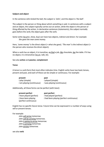## **Subject and object**

In the sentence *John kicked* the ball, the subject is *'John'*, and the object is *'the ball'*.

The subject is the person or thing about which something is said. In sentences with a subject and an object, the subject typically carries out an action, while the object is the person or thing affected by the action. In declarative sentences (statements), the subject normally goes before the verb; the object goes after the verb.

Some verbs (eg *give*, *show*, *buy*) can have two objects, indirect and direct. For example: *She gave the man some money.*

Here, *'some money'* is the direct object (= what she gave). *'The man'* is the indirect object (= the person who receives the direct object).

When a verb has an object, it is transitive, eg *find* a job, *like* chocolate, *lay* the table. If it has no object, it is intransitive (eg *go*, *talk*, *lie*).

## See also **active** and **passive**, **complement**

#### **Tense**

A tense is a verb form that most often indicates time. English verbs have two basic tenses, present and past, and each of these can be simple or continuous. For example:

| present                   | past                              |
|---------------------------|-----------------------------------|
| <i>I play</i> (simple)    | <i>I played</i> (simple)          |
| I am playing (continuous) | <i>I was playing (continuous)</i> |

Additionally, all these forms can be perfect (with *have*):

| present perfect                | past perfect                                   |
|--------------------------------|------------------------------------------------|
| <i>I have played (perfect)</i> | <i>I had played (perfect)</i>                  |
| I have been playing            | <i>I had been playing</i> (perfect continuous) |
| (perfect continuous)           |                                                |

English has no specific future tense. Future time can be expressed in a number of ways using will or present tenses.

For example:

*John will arrive tomorrow. John will be arriving tomorrow. John is going to arrive tomorrow. John is arriving tomorrow. John arrives tomorrow.*

see also **verb**